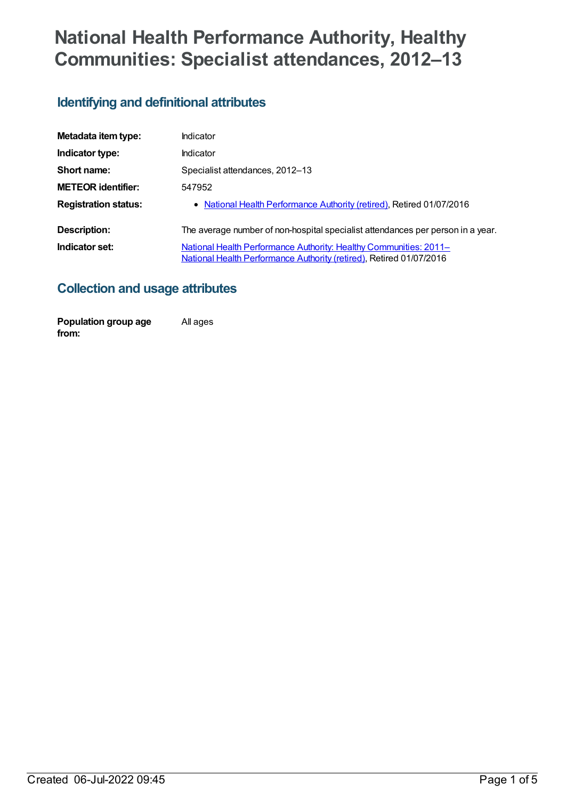# **National Health Performance Authority, Healthy Communities: Specialist attendances, 2012–13**

#### **Identifying and definitional attributes**

| Metadata item type:         | Indicator                                                                                                                                |
|-----------------------------|------------------------------------------------------------------------------------------------------------------------------------------|
| Indicator type:             | Indicator                                                                                                                                |
| Short name:                 | Specialist attendances, 2012-13                                                                                                          |
| <b>METEOR identifier:</b>   | 547952                                                                                                                                   |
| <b>Registration status:</b> | • National Health Performance Authority (retired), Retired 01/07/2016                                                                    |
| Description:                | The average number of non-hospital specialist attendances per person in a year.                                                          |
| Indicator set:              | National Health Performance Authority: Healthy Communities: 2011-<br>National Health Performance Authority (retired), Retired 01/07/2016 |

#### **Collection and usage attributes**

**Population group age from:** All ages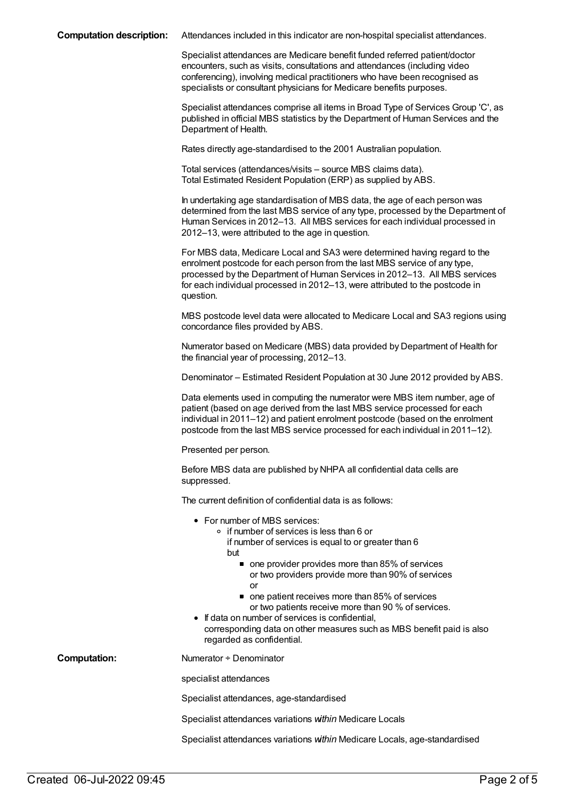**Computation description:** Attendances included in this indicator are non-hospital specialist attendances.

Specialist attendances are Medicare benefit funded referred patient/doctor encounters, such as visits, consultations and attendances (including video conferencing), involving medical practitioners who have been recognised as specialists or consultant physicians for Medicare benefits purposes.

Specialist attendances comprise all items in Broad Type of Services Group 'C', as published in official MBS statistics by the Department of Human Services and the Department of Health.

Rates directly age-standardised to the 2001 Australian population.

Total services (attendances/visits – source MBS claims data). Total Estimated Resident Population (ERP) as supplied by ABS.

In undertaking age standardisation of MBS data, the age of each person was determined from the last MBS service of any type, processed by the Department of Human Services in 2012–13. All MBS services for each individual processed in 2012–13, were attributed to the age in question.

For MBS data, Medicare Local and SA3 were determined having regard to the enrolment postcode for each person from the last MBS service of any type, processed by the Department of Human Services in 2012–13. All MBS services for each individual processed in 2012–13, were attributed to the postcode in question.

MBS postcode level data were allocated to Medicare Local and SA3 regions using concordance files provided by ABS.

Numerator based on Medicare (MBS) data provided by Department of Health for the financial year of processing, 2012–13.

Denominator – Estimated Resident Population at 30 June 2012 provided by ABS.

Data elements used in computing the numerator were MBS item number, age of patient (based on age derived from the last MBS service processed for each individual in 2011–12) and patient enrolment postcode (based on the enrolment postcode from the last MBS service processed for each individual in 2011–12).

Presented per person.

Before MBS data are published by NHPA all confidential data cells are suppressed.

The current definition of confidential data is as follows:

|  |  |  |  | • For number of MBS services: |
|--|--|--|--|-------------------------------|
|--|--|--|--|-------------------------------|

o if number of services is less than 6 or

if number of services is equal to or greater than 6 but

- one provider provides more than 85% of services or two providers provide more than 90% of services or
- one patient receives more than 85% of services or two patients receive more than 90 % of services.
- If data on number of services is confidential, corresponding data on other measures such as MBS benefit paid is also regarded as confidential.

**Computation:** Numerator ÷ Denominator

specialist attendances

Specialist attendances, age-standardised

Specialist attendances variations *within* Medicare Locals

Specialist attendances variations *within* Medicare Locals, age-standardised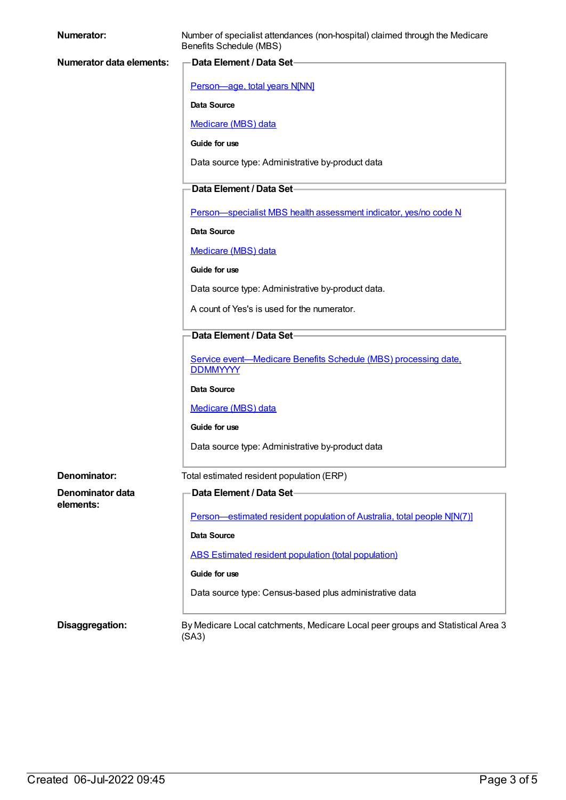| <b>Numerator:</b>               | Number of specialist attendances (non-hospital) claimed through the Medicare<br>Benefits Schedule (MBS) |  |
|---------------------------------|---------------------------------------------------------------------------------------------------------|--|
| <b>Numerator data elements:</b> | Data Element / Data Set-                                                                                |  |
|                                 | Person-age, total years N[NN]                                                                           |  |
|                                 | <b>Data Source</b>                                                                                      |  |
|                                 | Medicare (MBS) data                                                                                     |  |
|                                 | Guide for use                                                                                           |  |
|                                 | Data source type: Administrative by-product data                                                        |  |
|                                 | Data Element / Data Set-                                                                                |  |
|                                 | Person-specialist MBS health assessment indicator, yes/no code N                                        |  |
|                                 | Data Source                                                                                             |  |
|                                 | Medicare (MBS) data                                                                                     |  |
|                                 | Guide for use                                                                                           |  |
|                                 | Data source type: Administrative by-product data.                                                       |  |
|                                 | A count of Yes's is used for the numerator.                                                             |  |
|                                 | Data Element / Data Set-                                                                                |  |
|                                 | Service event-Medicare Benefits Schedule (MBS) processing date,                                         |  |
|                                 | <b>DDMMYYYY</b><br><b>Data Source</b>                                                                   |  |
|                                 | Medicare (MBS) data                                                                                     |  |
|                                 | Guide for use                                                                                           |  |
|                                 | Data source type: Administrative by-product data                                                        |  |
|                                 |                                                                                                         |  |
| Denominator:                    | Total estimated resident population (ERP)                                                               |  |
| Denominator data<br>elements:   | Data Element / Data Set-                                                                                |  |
|                                 | Person-estimated resident population of Australia, total people N[N(7)]                                 |  |
|                                 | Data Source                                                                                             |  |
|                                 | ABS Estimated resident population (total population)                                                    |  |
|                                 | Guide for use                                                                                           |  |
|                                 | Data source type: Census-based plus administrative data                                                 |  |
| Disaggregation:                 | By Medicare Local catchments, Medicare Local peer groups and Statistical Area 3<br>(SA3)                |  |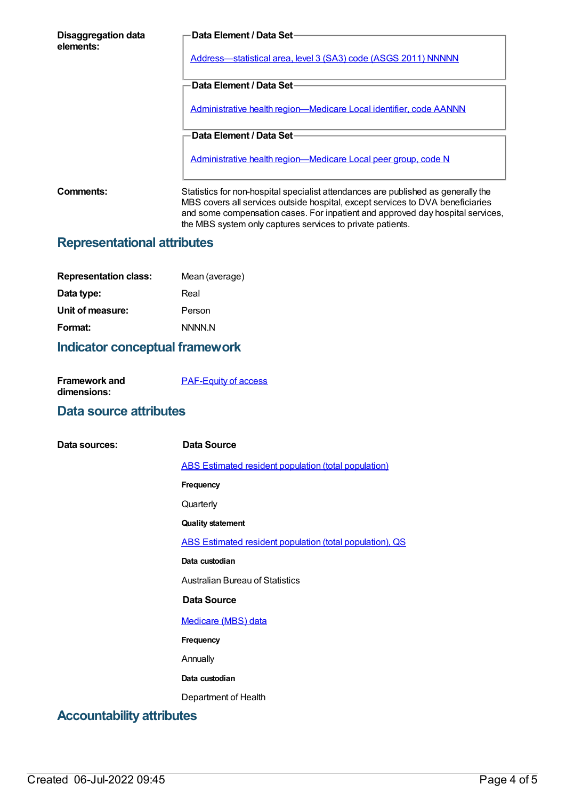| Data Element / Data Set-                                                                                                                                                                                                                                                                                            |
|---------------------------------------------------------------------------------------------------------------------------------------------------------------------------------------------------------------------------------------------------------------------------------------------------------------------|
| Address-statistical area, level 3 (SA3) code (ASGS 2011) NNNNN                                                                                                                                                                                                                                                      |
| Data Element / Data Set-                                                                                                                                                                                                                                                                                            |
|                                                                                                                                                                                                                                                                                                                     |
| Administrative health region-Medicare Local identifier, code AANNN                                                                                                                                                                                                                                                  |
| Data Element / Data Set-                                                                                                                                                                                                                                                                                            |
| Administrative health region-Medicare Local peer group, code N                                                                                                                                                                                                                                                      |
| Statistics for non-hospital specialist attendances are published as generally the<br>MBS covers all services outside hospital, except services to DVA beneficiaries<br>and some compensation cases. For inpatient and approved day hospital services,<br>the MBS system only captures services to private patients. |
|                                                                                                                                                                                                                                                                                                                     |

#### **Representational attributes**

| <b>Representation class:</b> | Mean (average) |
|------------------------------|----------------|
| Data type:                   | Real           |
| Unit of measure:             | Person         |
| Format:                      | NNNN N         |
|                              |                |

### **Indicator conceptual framework**

| Framework and | <b>PAF-Equity of access</b> |
|---------------|-----------------------------|
| dimensions:   |                             |

#### **Data source attributes**

| Data sources: | Data Source                                                 |
|---------------|-------------------------------------------------------------|
|               | <b>ABS Estimated resident population (total population)</b> |
|               | Frequency                                                   |
|               | Quarterly                                                   |
|               | <b>Quality statement</b>                                    |
|               | ABS Estimated resident population (total population), QS    |
|               | Data custodian                                              |
|               | <b>Australian Bureau of Statistics</b>                      |
|               | Data Source                                                 |
|               | Medicare (MBS) data                                         |
|               | Frequency                                                   |
|               | Annually                                                    |
|               | Data custodian                                              |
|               | Department of Health                                        |
|               |                                                             |

### **Accountability attributes**